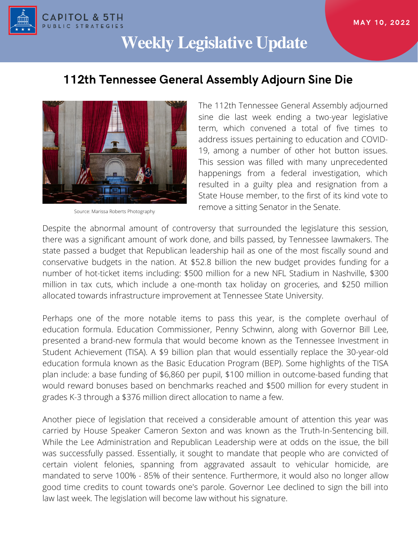

# **Weekly Legislative Update**

# 112th Tennessee General Assembly Adjourn Sine Die



Source: Marissa Roberts Photography

The 112th Tennessee General Assembly adjourned sine die last week ending a two-year legislative term, which convened a total of five times to address issues pertaining to education and COVID-19, among a number of other hot button issues. This session was filled with many unprecedented happenings from a federal investigation, which resulted in a guilty plea and resignation from a State House member, to the first of its kind vote to remove a sitting Senator in the Senate.

Despite the abnormal amount of controversy that surrounded the legislature this session, there was a significant amount of work done, and bills passed, by Tennessee lawmakers. The state passed a budget that Republican leadership hail as one of the most fiscally sound and conservative budgets in the nation. At \$52.8 billion the new budget provides funding for a number of hot-ticket items including: \$500 million for a new NFL Stadium in Nashville, \$300 million in tax cuts, which include a one-month tax holiday on groceries, and \$250 million allocated towards infrastructure improvement at Tennessee State University.

Perhaps one of the more notable items to pass this year, is the complete overhaul of education formula. Education Commissioner, Penny Schwinn, along with Governor Bill Lee, presented a brand-new formula that would become known as the Tennessee Investment in Student Achievement (TISA). A \$9 billion plan that would essentially replace the 30-year-old education formula known as the Basic Education Program (BEP). Some highlights of the TISA plan include: a base funding of \$6,860 per pupil, \$100 million in outcome-based funding that would reward bonuses based on benchmarks reached and \$500 million for every student in grades K-3 through a \$376 million direct allocation to name a few.

Another piece of legislation that received a considerable amount of attention this year was carried by House Speaker Cameron Sexton and was known as the Truth-In-Sentencing bill. While the Lee Administration and Republican Leadership were at odds on the issue, the bill was successfully passed. Essentially, it sought to mandate that people who are convicted of certain violent felonies, spanning from aggravated assault to vehicular homicide, are mandated to serve 100% - 85% of their sentence. Furthermore, it would also no longer allow good time credits to count towards one's parole. Governor Lee declined to sign the bill into law last week. The legislation will become law without his signature.